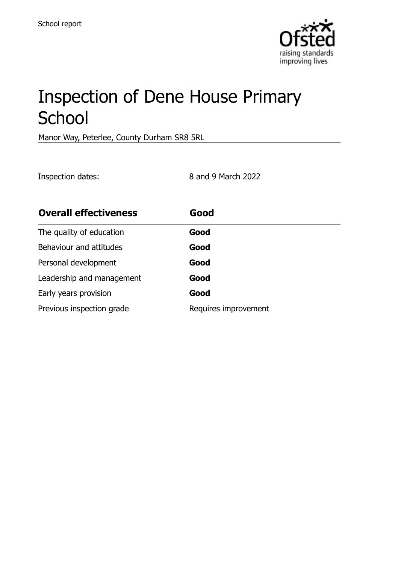

# Inspection of Dene House Primary **School**

Manor Way, Peterlee, County Durham SR8 5RL

Inspection dates: 8 and 9 March 2022

| <b>Overall effectiveness</b> | Good                 |
|------------------------------|----------------------|
| The quality of education     | Good                 |
| Behaviour and attitudes      | Good                 |
| Personal development         | Good                 |
| Leadership and management    | Good                 |
| Early years provision        | Good                 |
| Previous inspection grade    | Requires improvement |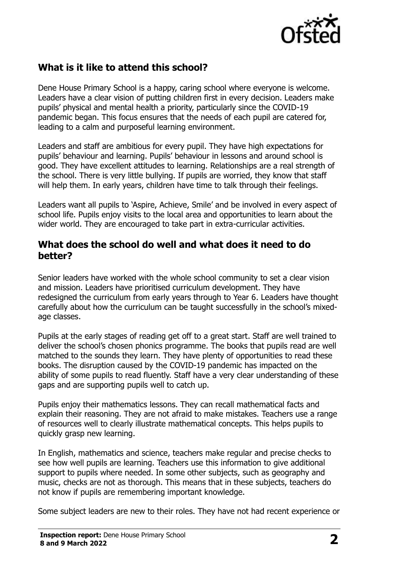

# **What is it like to attend this school?**

Dene House Primary School is a happy, caring school where everyone is welcome. Leaders have a clear vision of putting children first in every decision. Leaders make pupils' physical and mental health a priority, particularly since the COVID-19 pandemic began. This focus ensures that the needs of each pupil are catered for, leading to a calm and purposeful learning environment.

Leaders and staff are ambitious for every pupil. They have high expectations for pupils' behaviour and learning. Pupils' behaviour in lessons and around school is good. They have excellent attitudes to learning. Relationships are a real strength of the school. There is very little bullying. If pupils are worried, they know that staff will help them. In early years, children have time to talk through their feelings.

Leaders want all pupils to 'Aspire, Achieve, Smile' and be involved in every aspect of school life. Pupils enjoy visits to the local area and opportunities to learn about the wider world. They are encouraged to take part in extra-curricular activities.

#### **What does the school do well and what does it need to do better?**

Senior leaders have worked with the whole school community to set a clear vision and mission. Leaders have prioritised curriculum development. They have redesigned the curriculum from early years through to Year 6. Leaders have thought carefully about how the curriculum can be taught successfully in the school's mixedage classes.

Pupils at the early stages of reading get off to a great start. Staff are well trained to deliver the school's chosen phonics programme. The books that pupils read are well matched to the sounds they learn. They have plenty of opportunities to read these books. The disruption caused by the COVID-19 pandemic has impacted on the ability of some pupils to read fluently. Staff have a very clear understanding of these gaps and are supporting pupils well to catch up.

Pupils enjoy their mathematics lessons. They can recall mathematical facts and explain their reasoning. They are not afraid to make mistakes. Teachers use a range of resources well to clearly illustrate mathematical concepts. This helps pupils to quickly grasp new learning.

In English, mathematics and science, teachers make regular and precise checks to see how well pupils are learning. Teachers use this information to give additional support to pupils where needed. In some other subjects, such as geography and music, checks are not as thorough. This means that in these subjects, teachers do not know if pupils are remembering important knowledge.

Some subject leaders are new to their roles. They have not had recent experience or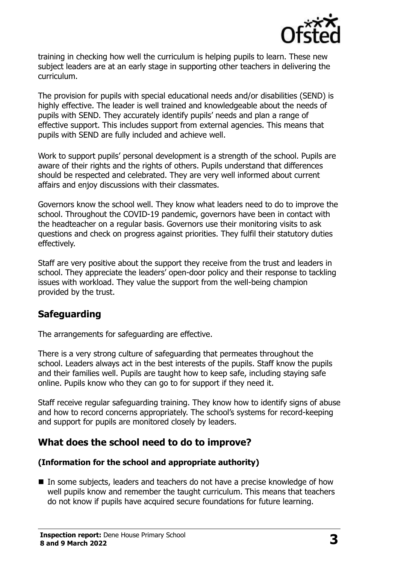

training in checking how well the curriculum is helping pupils to learn. These new subject leaders are at an early stage in supporting other teachers in delivering the curriculum.

The provision for pupils with special educational needs and/or disabilities (SEND) is highly effective. The leader is well trained and knowledgeable about the needs of pupils with SEND. They accurately identify pupils' needs and plan a range of effective support. This includes support from external agencies. This means that pupils with SEND are fully included and achieve well.

Work to support pupils' personal development is a strength of the school. Pupils are aware of their rights and the rights of others. Pupils understand that differences should be respected and celebrated. They are very well informed about current affairs and enjoy discussions with their classmates.

Governors know the school well. They know what leaders need to do to improve the school. Throughout the COVID-19 pandemic, governors have been in contact with the headteacher on a regular basis. Governors use their monitoring visits to ask questions and check on progress against priorities. They fulfil their statutory duties effectively.

Staff are very positive about the support they receive from the trust and leaders in school. They appreciate the leaders' open-door policy and their response to tackling issues with workload. They value the support from the well-being champion provided by the trust.

## **Safeguarding**

The arrangements for safeguarding are effective.

There is a very strong culture of safeguarding that permeates throughout the school. Leaders always act in the best interests of the pupils. Staff know the pupils and their families well. Pupils are taught how to keep safe, including staying safe online. Pupils know who they can go to for support if they need it.

Staff receive regular safeguarding training. They know how to identify signs of abuse and how to record concerns appropriately. The school's systems for record-keeping and support for pupils are monitored closely by leaders.

## **What does the school need to do to improve?**

#### **(Information for the school and appropriate authority)**

■ In some subjects, leaders and teachers do not have a precise knowledge of how well pupils know and remember the taught curriculum. This means that teachers do not know if pupils have acquired secure foundations for future learning.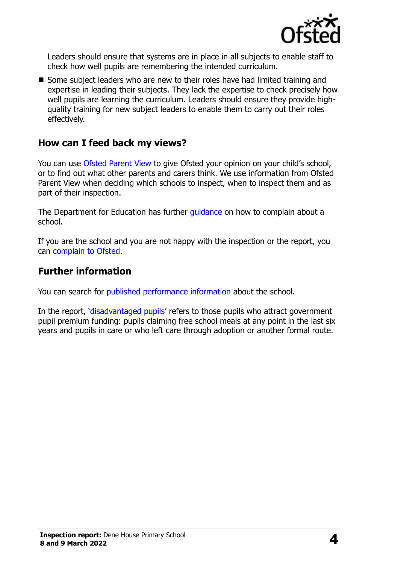

Leaders should ensure that systems are in place in all subjects to enable staff to check how well pupils are remembering the intended curriculum.

■ Some subject leaders who are new to their roles have had limited training and expertise in leading their subjects. They lack the expertise to check precisely how well pupils are learning the curriculum. Leaders should ensure they provide highquality training for new subject leaders to enable them to carry out their roles effectively.

## **How can I feed back my views?**

You can use [Ofsted Parent View](http://parentview.ofsted.gov.uk/) to give Ofsted your opinion on your child's school, or to find out what other parents and carers think. We use information from Ofsted Parent View when deciding which schools to inspect, when to inspect them and as part of their inspection.

The Department for Education has further quidance on how to complain about a school.

If you are the school and you are not happy with the inspection or the report, you can [complain to Ofsted.](http://www.gov.uk/complain-ofsted-report)

#### **Further information**

You can search for [published performance information](http://www.compare-school-performance.service.gov.uk/) about the school.

In the report, '[disadvantaged pupils](http://www.gov.uk/guidance/pupil-premium-information-for-schools-and-alternative-provision-settings)' refers to those pupils who attract government pupil premium funding: pupils claiming free school meals at any point in the last six years and pupils in care or who left care through adoption or another formal route.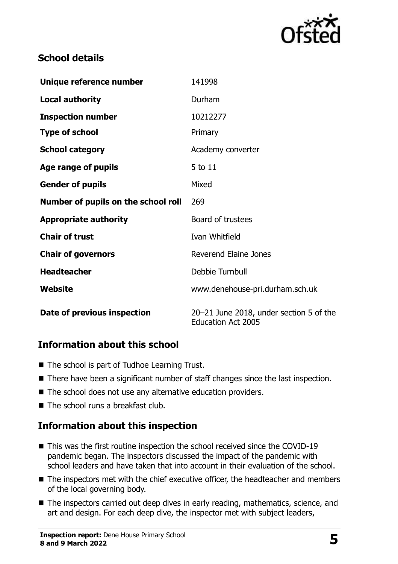

# **School details**

| Unique reference number             | 141998                                                               |  |
|-------------------------------------|----------------------------------------------------------------------|--|
| <b>Local authority</b>              | Durham                                                               |  |
| <b>Inspection number</b>            | 10212277                                                             |  |
| <b>Type of school</b>               | Primary                                                              |  |
| <b>School category</b>              | Academy converter                                                    |  |
| Age range of pupils                 | 5 to 11                                                              |  |
| <b>Gender of pupils</b>             | Mixed                                                                |  |
| Number of pupils on the school roll | 269                                                                  |  |
| <b>Appropriate authority</b>        | Board of trustees                                                    |  |
| <b>Chair of trust</b>               | Ivan Whitfield                                                       |  |
| <b>Chair of governors</b>           | <b>Reverend Elaine Jones</b>                                         |  |
| <b>Headteacher</b>                  | Debbie Turnbull                                                      |  |
| Website                             | www.denehouse-pri.durham.sch.uk                                      |  |
| Date of previous inspection         | 20-21 June 2018, under section 5 of the<br><b>Education Act 2005</b> |  |

## **Information about this school**

- The school is part of Tudhoe Learning Trust.
- There have been a significant number of staff changes since the last inspection.
- The school does not use any alternative education providers.
- The school runs a breakfast club.

## **Information about this inspection**

- This was the first routine inspection the school received since the COVID-19 pandemic began. The inspectors discussed the impact of the pandemic with school leaders and have taken that into account in their evaluation of the school.
- The inspectors met with the chief executive officer, the headteacher and members of the local governing body.
- The inspectors carried out deep dives in early reading, mathematics, science, and art and design. For each deep dive, the inspector met with subject leaders,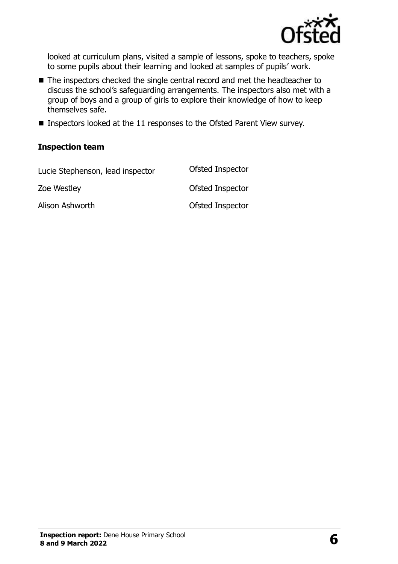

looked at curriculum plans, visited a sample of lessons, spoke to teachers, spoke to some pupils about their learning and looked at samples of pupils' work.

- The inspectors checked the single central record and met the headteacher to discuss the school's safeguarding arrangements. The inspectors also met with a group of boys and a group of girls to explore their knowledge of how to keep themselves safe.
- Inspectors looked at the 11 responses to the Ofsted Parent View survey.

#### **Inspection team**

| Lucie Stephenson, lead inspector | Ofsted Inspector |
|----------------------------------|------------------|
| Zoe Westley                      | Ofsted Inspector |
| Alison Ashworth                  | Ofsted Inspector |